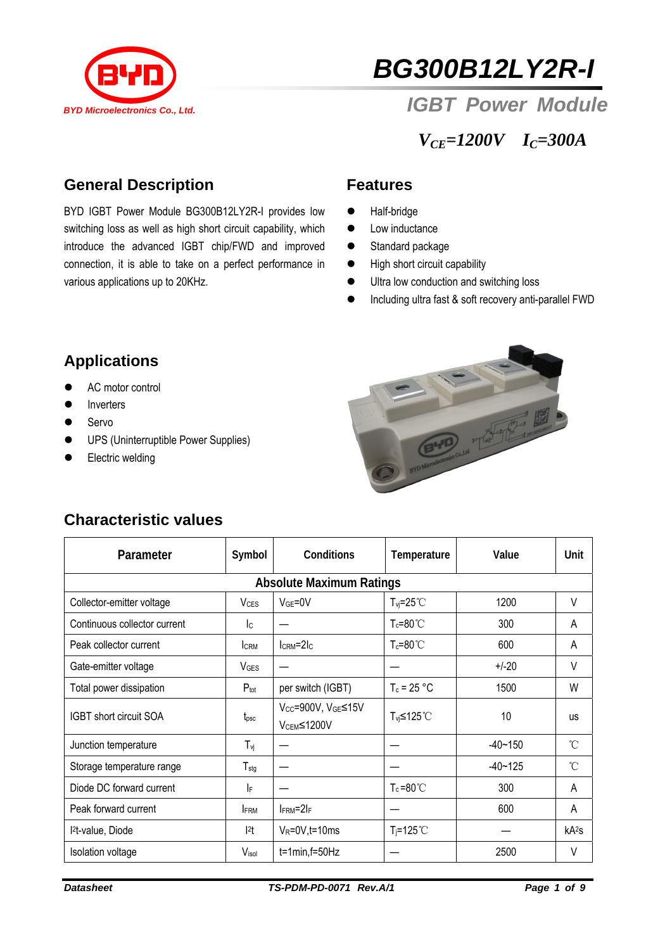

# *BG300B12LY2R-I*

## **BYD Microelectronics Co., Ltd. IGBT POWER Module**

## *VCE=1200V IC=300A*

## **General Description**

BYD IGBT Power Module BG300B12LY2R-I provides low switching loss as well as high short circuit capability, which introduce the advanced IGBT chip/FWD and improved connection, it is able to take on a perfect performance in various applications up to 20KHz.

#### **Features**

- $\bullet$  Half-bridge
- $\bullet$  Low inductance
- Standard package
- $\bullet$  High short circuit capability
- $\bullet$  Ultra low conduction and switching loss
- **•** Including ultra fast & soft recovery anti-parallel FWD

## **Applications**

- AC motor control
- Inverters
- $\bullet$  Servo
- **•** UPS (Uninterruptible Power Supplies)
- Electric welding



## **Characteristic values**

| Parameter                       | Symbol                  | <b>Conditions</b>                                                      | Temperature           | Value       | Unit              |  |  |  |  |
|---------------------------------|-------------------------|------------------------------------------------------------------------|-----------------------|-------------|-------------------|--|--|--|--|
| <b>Absolute Maximum Ratings</b> |                         |                                                                        |                       |             |                   |  |  |  |  |
| Collector-emitter voltage       | <b>V</b> <sub>CES</sub> | $VGE=0V$                                                               | $T_{vi} = 25^{\circ}$ | 1200        | V                 |  |  |  |  |
| Continuous collector current    | lc.                     |                                                                        | $T_c = 80^{\circ}$ C  | 300         | A                 |  |  |  |  |
| Peak collector current          | <b>CRM</b>              | $lcRM=2lc$                                                             | $T_c = 80^{\circ}$ C  | 600         | A                 |  |  |  |  |
| Gate-emitter voltage            | <b>V<sub>GES</sub></b>  |                                                                        |                       | $+/-20$     | V                 |  |  |  |  |
| Total power dissipation         | $P_{\text{tot}}$        | per switch (IGBT)                                                      | $T_c = 25 °C$         | 1500        | W                 |  |  |  |  |
| IGBT short circuit SOA          | $t_{\rm psc}$           | V <sub>CC</sub> =900V, V <sub>GE</sub> ≤15V<br>V <sub>CEM</sub> ≤1200V | T <sub>vi</sub> ≤125℃ | 10          | <b>us</b>         |  |  |  |  |
| Junction temperature            | $T_{vi}$                |                                                                        |                       | $-40 - 150$ | $\mathcal{C}$     |  |  |  |  |
| Storage temperature range       | $T_{\text{stg}}$        |                                                                        |                       | $-40 - 125$ | °C                |  |  |  |  |
| Diode DC forward current        | IF                      |                                                                        | $T_c = 80^{\circ}$    | 300         | A                 |  |  |  |  |
| Peak forward current            | <b>IFRM</b>             | $I_{\text{FRM}} = 2I_{\text{F}}$                                       |                       | 600         | A                 |  |  |  |  |
| l <sup>2</sup> t-value, Diode   | 2t                      | $V_R = 0V$ , t = 10 ms                                                 | $T_i = 125^{\circ}$ C |             | kA <sup>2</sup> S |  |  |  |  |
| Isolation voltage               | Visol                   | $t=1$ min, $f=50$ Hz                                                   |                       | 2500        | V                 |  |  |  |  |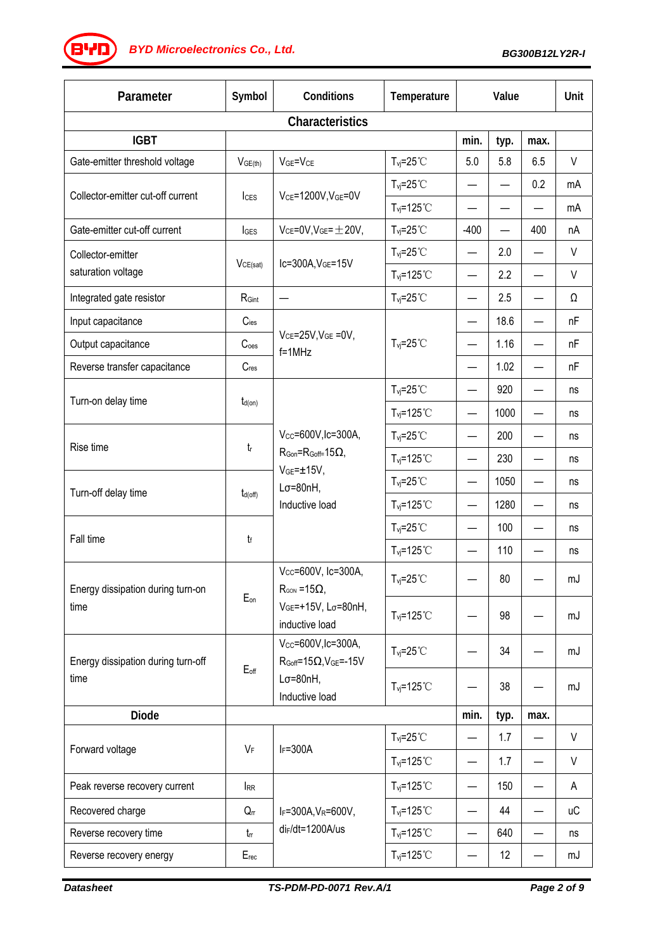*BG300B12LY2R-I BYD Microelectronics Co., Ltd.*

| Parameter                                  | Symbol              | Conditions                                                                                                                            | Temperature                    | Value                    |      |                          | Unit      |  |  |
|--------------------------------------------|---------------------|---------------------------------------------------------------------------------------------------------------------------------------|--------------------------------|--------------------------|------|--------------------------|-----------|--|--|
| <b>Characteristics</b>                     |                     |                                                                                                                                       |                                |                          |      |                          |           |  |  |
| <b>IGBT</b>                                |                     |                                                                                                                                       |                                | min.                     | typ. | max.                     |           |  |  |
| Gate-emitter threshold voltage             | V <sub>GE(th)</sub> | $VGE=VCE$                                                                                                                             | $T_{vi} = 25^{\circ}$ C        | 5.0                      | 5.8  | 6.5                      | V         |  |  |
| Collector-emitter cut-off current          | $l_{\text{CES}}$    | $V_{CE}$ =1200V, $V_{GE}$ =0V                                                                                                         | $T_{\text{vj}}=25^{\circ}C$    |                          |      | 0.2                      | mA        |  |  |
|                                            |                     |                                                                                                                                       | $T_{vj} = 125°C$               |                          |      |                          | mA        |  |  |
| Gate-emitter cut-off current               | <b>I</b> GES        | $V_{CE}$ =0V, $V_{GE}$ = $\pm$ 20V,                                                                                                   | $T_{vi} = 25^{\circ}$          | $-400$                   | —    | 400                      | nA        |  |  |
| Collector-emitter<br>saturation voltage    | VCE(sat)            | Ic=300A, VGE=15V                                                                                                                      | $T_{\text{vj}}=25^{\circ}C$    | —                        | 2.0  |                          | V         |  |  |
|                                            |                     |                                                                                                                                       | $T_{\text{vj}}$ =125°C         |                          | 2.2  |                          | V         |  |  |
| Integrated gate resistor                   | RGint               | —                                                                                                                                     | $T_{\text{vj}}=25^{\circ}C$    |                          | 2.5  |                          | Ω         |  |  |
| Input capacitance                          | $C$ ies             | $V_{CE} = 25V$ , $V_{GE} = 0V$ ,<br>$f = 1$ MHz                                                                                       | $T_{\text{vj}}=25^{\circ}C$    |                          | 18.6 |                          | nF        |  |  |
| Output capacitance                         | C <sub>oes</sub>    |                                                                                                                                       |                                | —                        | 1.16 |                          | nF        |  |  |
| Reverse transfer capacitance               | Cres                |                                                                                                                                       |                                |                          | 1.02 |                          | nF        |  |  |
| Turn-on delay time                         |                     |                                                                                                                                       | $T_{\text{vj}}=25^{\circ}C$    | —                        | 920  |                          | ns        |  |  |
|                                            | $t_{d(on)}$         |                                                                                                                                       | $T_{vi} = 125^{\circ}$ C       | $\overline{\phantom{0}}$ | 1000 |                          | ns        |  |  |
| Rise time                                  | $t_{\sf r}$         | $V_{CC} = 600V$ , Ic=300A,<br>$R_{\text{Gon}} = R_{\text{Goff}} = 15 \Omega$ ,<br>$VGE=±15V,$<br>$L\sigma = 80nH$ ,<br>Inductive load | $T_{vi} = 25^{\circ}$ C        |                          | 200  |                          | ns        |  |  |
|                                            |                     |                                                                                                                                       | $T_{vi} = 125^{\circ}$         | —                        | 230  |                          | ns        |  |  |
| Turn-off delay time                        | $t_{d(off)}$        |                                                                                                                                       | $T_{\text{vj}}=25^{\circ}C$    |                          | 1050 |                          | ns        |  |  |
|                                            |                     |                                                                                                                                       | $T_{\text{vj}}$ =125°C         | —                        | 1280 |                          | ns        |  |  |
| Fall time                                  | t                   |                                                                                                                                       | $T_{vi} = 25^{\circ}$          |                          | 100  |                          | ns        |  |  |
|                                            |                     |                                                                                                                                       | $T_{\text{vj}}$ =125°C         |                          | 110  |                          | ns        |  |  |
| Energy dissipation during turn-on<br>time  | $E_{on}$            | Vcc=600V, Ic=300A,<br>$R_{\text{GON}} = 15\Omega$ ,<br>VGE=+15V, Lσ=80nH,<br>inductive load                                           | $T_{\text{vj}}=25^{\circ}C$    |                          | 80   |                          | mJ        |  |  |
|                                            |                     |                                                                                                                                       | $T_{vi} = 125^{\circ}$ C       |                          | 98   |                          | mJ        |  |  |
| Energy dissipation during turn-off<br>time | $E_{off}$           | $V_{CC} = 600V,$ Ic=300A,<br>$R_{Goff} = 15\Omega$ , $V_{GE} = -15V$<br>$L\sigma = 80nH,$<br>Inductive load                           | $T_{vi} = 25^{\circ}$ C        |                          | 34   |                          | mJ        |  |  |
|                                            |                     |                                                                                                                                       | $T_{vi} = 125^{\circ}$ C       |                          | 38   |                          | mJ        |  |  |
| <b>Diode</b>                               |                     |                                                                                                                                       |                                | min.                     | typ. | max.                     |           |  |  |
| Forward voltage                            | $V_F$               | $I_F = 300A$                                                                                                                          | $T_{vi} = 25^{\circ}$ C        |                          | 1.7  |                          | V         |  |  |
|                                            |                     |                                                                                                                                       | $T_{\text{vj}}$ =125°C         | —                        | 1.7  |                          | V         |  |  |
| Peak reverse recovery current              | <b>IRR</b>          | $I_F = 300A, V_R = 600V,$<br>$di$ F/dt=1200A/us                                                                                       | $T_{vj} = 125^{\circ}$ C       | —                        | 150  |                          | A         |  |  |
| Recovered charge                           | $Q_{rr}$            |                                                                                                                                       | $T_{vi} = 125^{\circ}$ C       |                          | 44   |                          | <b>uC</b> |  |  |
| Reverse recovery time                      | $t_{rr}$            |                                                                                                                                       | $T_{vi} = 125^{\circ}$ C       | —                        | 640  | $\overline{\phantom{0}}$ | ns        |  |  |
| Reverse recovery energy                    | Erec                |                                                                                                                                       | $T_{\text{vj}} = 125^{\circ}C$ | —                        | 12   |                          | mJ        |  |  |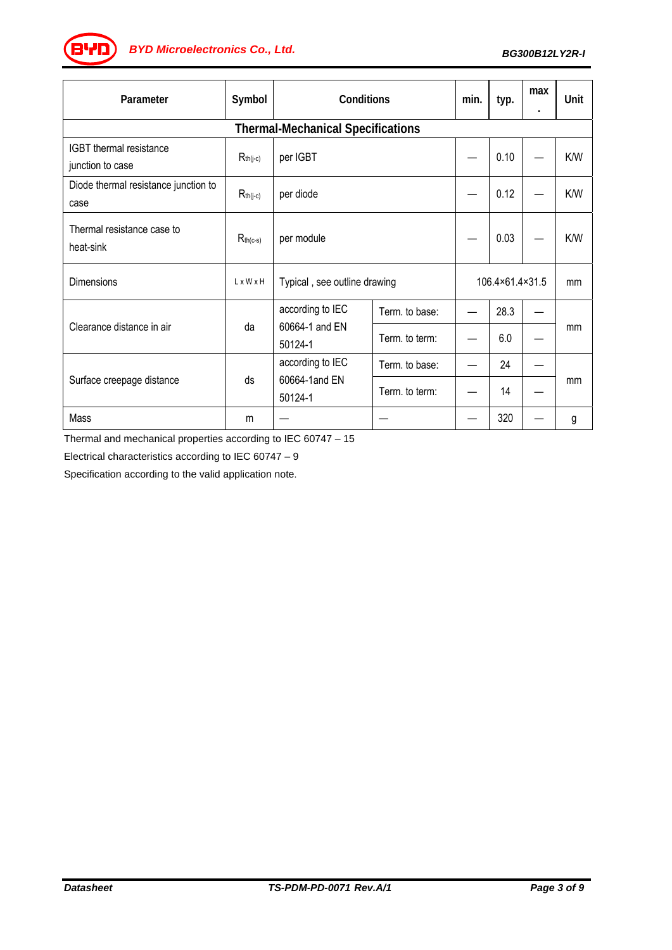*BG300B12LY2R-I BYD Microelectronics Co., Ltd.*

| Parameter                                    | Symbol        | Conditions                                    |                | min.            | typ. | max | Unit |  |  |
|----------------------------------------------|---------------|-----------------------------------------------|----------------|-----------------|------|-----|------|--|--|
| <b>Thermal-Mechanical Specifications</b>     |               |                                               |                |                 |      |     |      |  |  |
| IGBT thermal resistance<br>junction to case  | $R_{th(j-c)}$ | per IGBT                                      |                |                 | 0.10 |     | K/W  |  |  |
| Diode thermal resistance junction to<br>case | $R_{th(j-c)}$ | per diode                                     |                |                 | 0.12 |     | K/W  |  |  |
| Thermal resistance case to<br>heat-sink      | $R_{th(c-s)}$ | per module                                    |                |                 | 0.03 |     | K/W  |  |  |
| Dimensions                                   | LxWxH         | Typical, see outline drawing                  |                | 106.4×61.4×31.5 |      | mm  |      |  |  |
| Clearance distance in air                    | da            | according to IEC<br>60664-1 and EN<br>50124-1 | Term. to base: |                 | 28.3 |     |      |  |  |
|                                              |               |                                               | Term. to term: |                 | 6.0  |     | mm   |  |  |
| Surface creepage distance                    | ds            | according to IEC<br>60664-1 and EN<br>50124-1 | Term. to base: |                 | 24   |     | mm   |  |  |
|                                              |               |                                               | Term. to term: |                 | 14   |     |      |  |  |
| Mass                                         | m             |                                               |                |                 | 320  |     | g    |  |  |

Thermal and mechanical properties according to IEC 60747 – 15

Electrical characteristics according to IEC 60747 – 9

Specification according to the valid application note.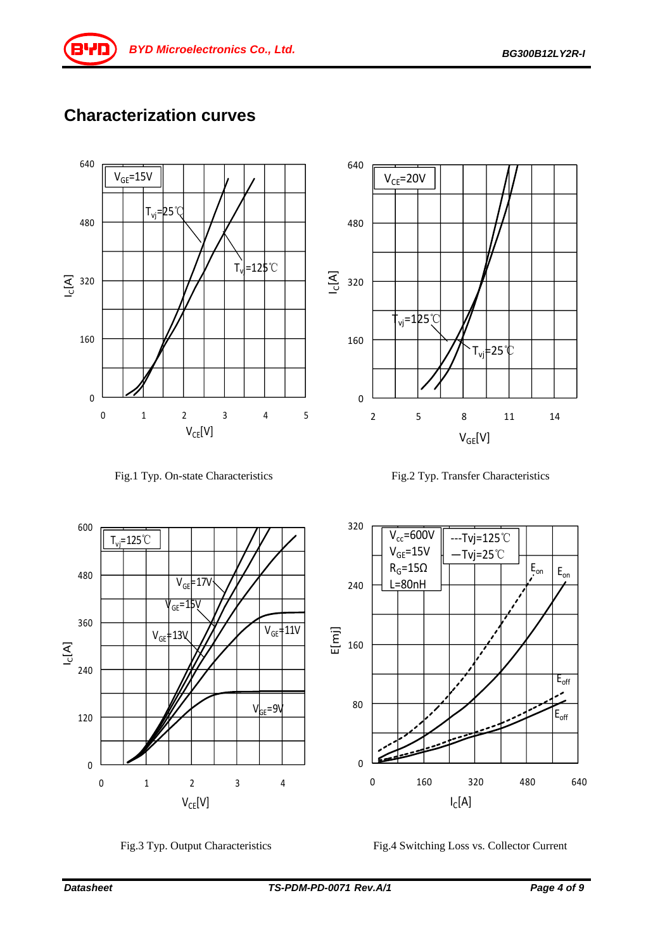## **Characterization curves**











Fig.3 Typ. Output Characteristics Fig.4 Switching Loss vs. Collector Current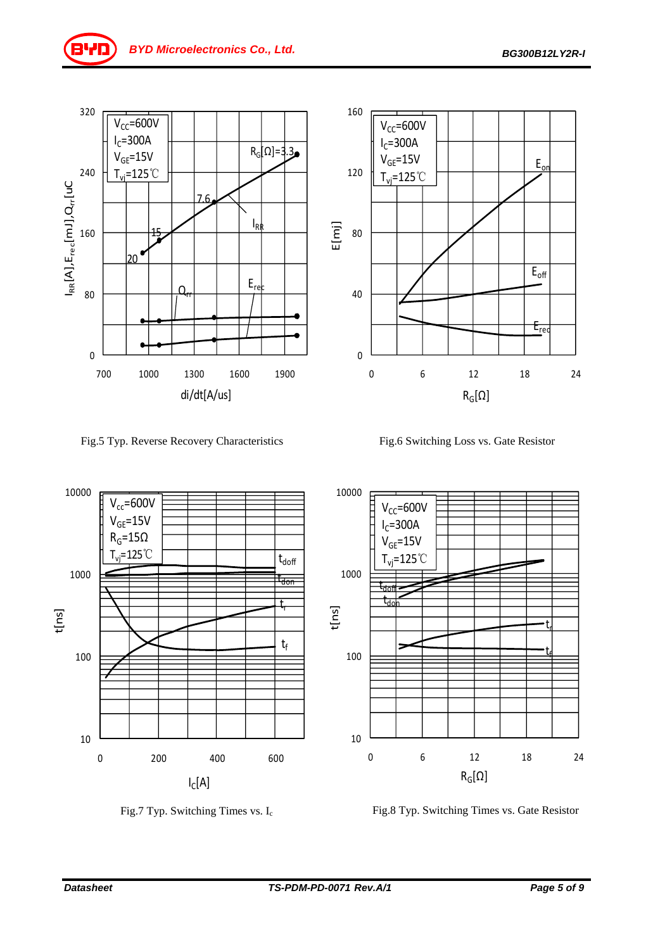

Fig.5 Typ. Reverse Recovery Characteristics Fig.6 Switching Loss vs. Gate Resistor



Fig.7 Typ. Switching Times vs. I<sub>c</sub> Fig.8 Typ. Switching Times vs. Gate Resistor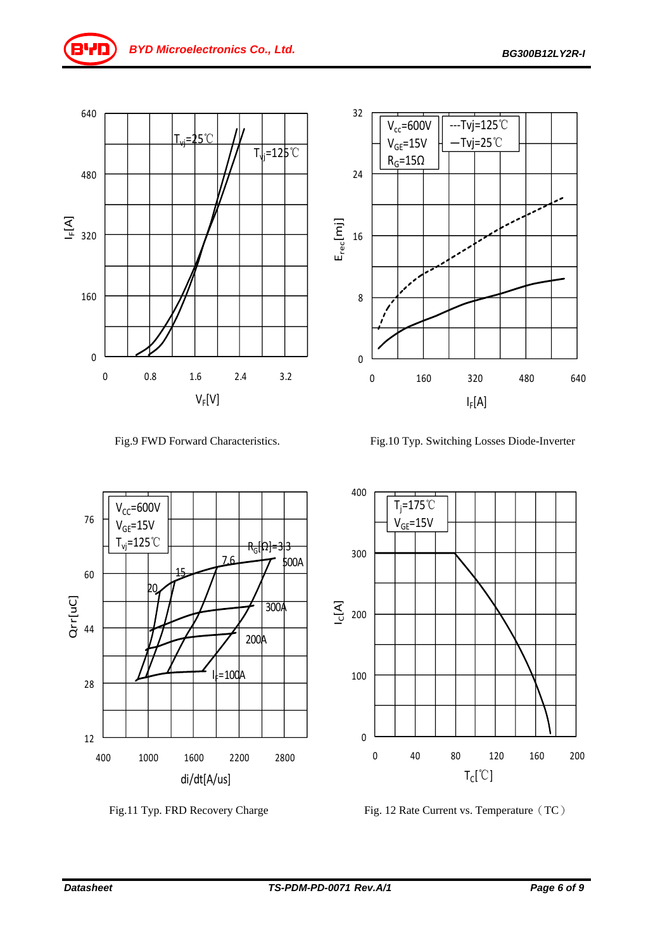





0 160 320 480 640

‐‐‐Tvj=125℃ —Tvj=25℃

 $I_F[A]$ 

0

8

16

 $E_{rec}[m]$ 

24

32

 $V_{cc} = 600V$  $V_{GE}$ =15V  $R_G = 15\Omega$ 







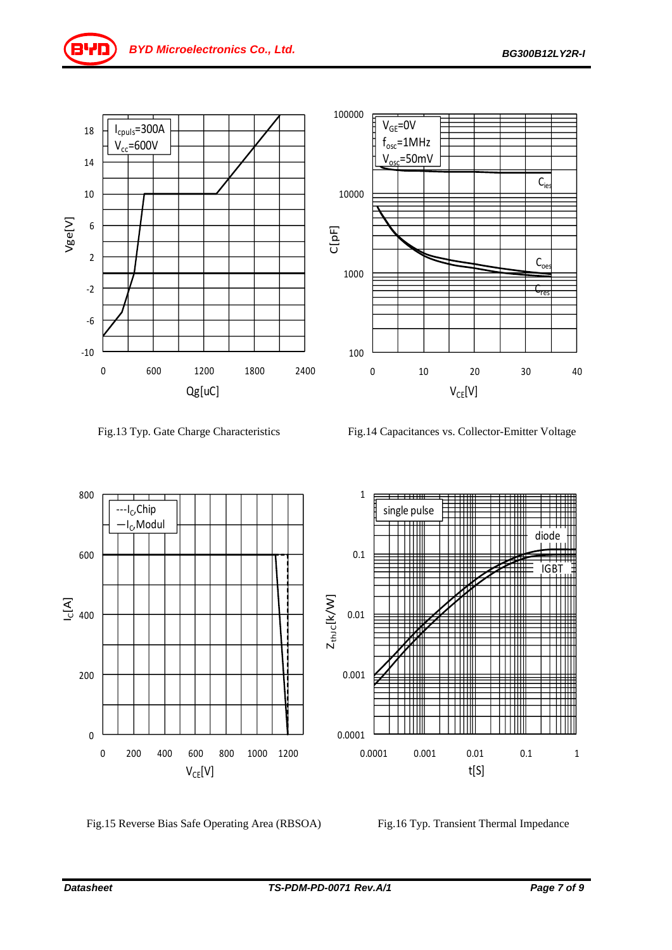



Fig.13 Typ. Gate Charge Characteristics Fig.14 Capacitances vs. Collector-Emitter Voltage



Fig.15 Reverse Bias Safe Operating Area (RBSOA) Fig.16 Typ. Transient Thermal Impedance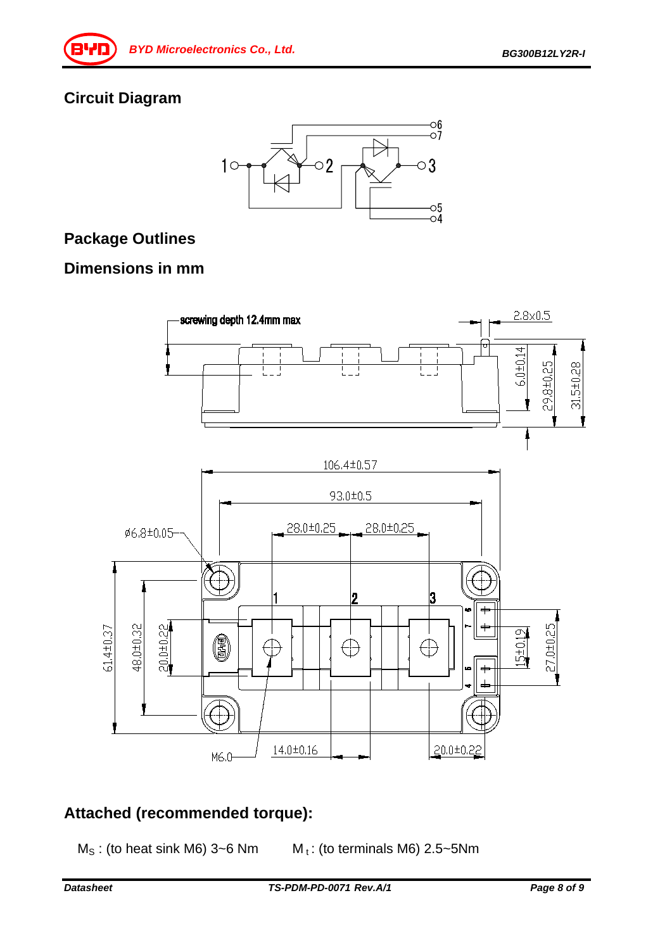## **Circuit Diagram**



## **Package Outlines**

#### **Dimensions in mm**



## **Attached (recommended torque):**

- $M_S$ : (to heat sink M6) 3~6 Nm  $M_t$ : (to terminals M6) 2.5~5 Nm
	-